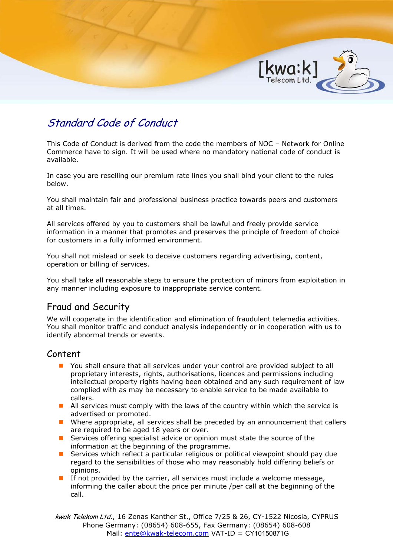

# Standard Code of Conduct

This Code of Conduct is derived from the code the members of NOC – Network for Online Commerce have to sign. It will be used where no mandatory national code of conduct is available.

In case you are reselling our premium rate lines you shall bind your client to the rules below.

You shall maintain fair and professional business practice towards peers and customers at all times.

All services offered by you to customers shall be lawful and freely provide service information in a manner that promotes and preserves the principle of freedom of choice for customers in a fully informed environment.

You shall not mislead or seek to deceive customers regarding advertising, content, operation or billing of services.

You shall take all reasonable steps to ensure the protection of minors from exploitation in any manner including exposure to inappropriate service content.

# Fraud and Security

We will cooperate in the identification and elimination of fraudulent telemedia activities. You shall monitor traffic and conduct analysis independently or in cooperation with us to identify abnormal trends or events.

# Content

- You shall ensure that all services under your control are provided subject to all proprietary interests, rights, authorisations, licences and permissions including intellectual property rights having been obtained and any such requirement of law complied with as may be necessary to enable service to be made available to callers.
- All services must comply with the laws of the country within which the service is advertised or promoted.
- Where appropriate, all services shall be preceded by an announcement that callers are required to be aged 18 years or over.
- **E** Services offering specialist advice or opinion must state the source of the information at the beginning of the programme.
- Services which reflect a particular religious or political viewpoint should pay due regard to the sensibilities of those who may reasonably hold differing beliefs or opinions.
- If not provided by the carrier, all services must include a welcome message, informing the caller about the price per minute /per call at the beginning of the call.

kwak Telekom Ltd., 16 Zenas Kanther St., Office 7/25 & 26, CY-1522 Nicosia, CYPRUS Phone Germany: (08654) 608-655, Fax Germany: (08654) 608-608 Mail: ente@kwak-telecom.com VAT-ID = CY10150871G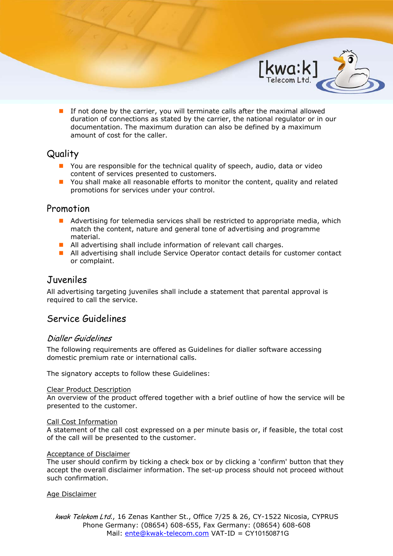**If not done by the carrier, you will terminate calls after the maximal allowed** duration of connections as stated by the carrier, the national regulator or in our documentation. The maximum duration can also be defined by a maximum amount of cost for the caller.

 $[Kwa:k]$ 

# **Quality**

- **P** You are responsible for the technical quality of speech, audio, data or video content of services presented to customers.
- **D** You shall make all reasonable efforts to monitor the content, quality and related promotions for services under your control.

# Promotion

- **A** Advertising for telemedia services shall be restricted to appropriate media, which match the content, nature and general tone of advertising and programme material.
- All advertising shall include information of relevant call charges.
- All advertising shall include Service Operator contact details for customer contact or complaint.

# Juveniles

All advertising targeting juveniles shall include a statement that parental approval is required to call the service.

# Service Guidelines

## Dialler Guidelines

The following requirements are offered as Guidelines for dialler software accessing domestic premium rate or international calls.

The signatory accepts to follow these Guidelines:

### Clear Product Description

An overview of the product offered together with a brief outline of how the service will be presented to the customer.

### Call Cost Information

A statement of the call cost expressed on a per minute basis or, if feasible, the total cost of the call will be presented to the customer.

### Acceptance of Disclaimer

The user should confirm by ticking a check box or by clicking a 'confirm' button that they accept the overall disclaimer information. The set-up process should not proceed without such confirmation.

Age Disclaimer